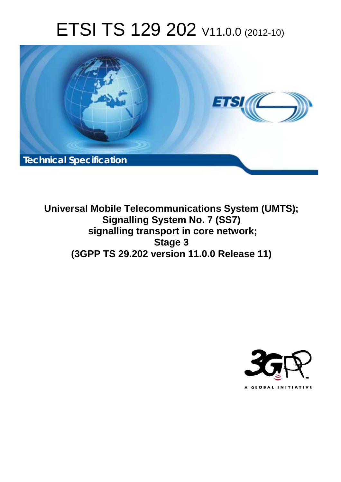# ETSI TS 129 202 V11.0.0 (2012-10)



**Universal Mobile Telecommunications System (UMTS); Signalling System No. 7 (SS7) signalling transport in core network; Stage 3 (3GPP TS 29.202 version 11.0.0 Release 11)** 

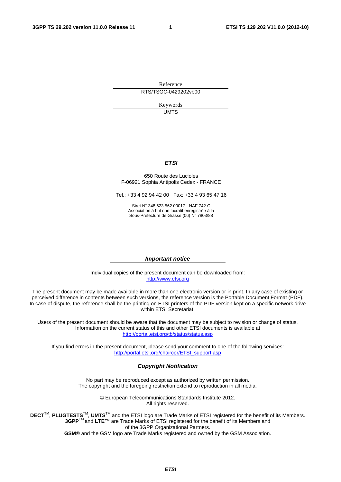Reference RTS/TSGC-0429202vb00

> Keywords UMTS

#### *ETSI*

#### 650 Route des Lucioles F-06921 Sophia Antipolis Cedex - FRANCE

Tel.: +33 4 92 94 42 00 Fax: +33 4 93 65 47 16

Siret N° 348 623 562 00017 - NAF 742 C Association à but non lucratif enregistrée à la Sous-Préfecture de Grasse (06) N° 7803/88

#### *Important notice*

Individual copies of the present document can be downloaded from: [http://www.etsi.org](http://www.etsi.org/)

The present document may be made available in more than one electronic version or in print. In any case of existing or perceived difference in contents between such versions, the reference version is the Portable Document Format (PDF). In case of dispute, the reference shall be the printing on ETSI printers of the PDF version kept on a specific network drive within ETSI Secretariat.

Users of the present document should be aware that the document may be subject to revision or change of status. Information on the current status of this and other ETSI documents is available at <http://portal.etsi.org/tb/status/status.asp>

If you find errors in the present document, please send your comment to one of the following services: [http://portal.etsi.org/chaircor/ETSI\\_support.asp](http://portal.etsi.org/chaircor/ETSI_support.asp)

#### *Copyright Notification*

No part may be reproduced except as authorized by written permission. The copyright and the foregoing restriction extend to reproduction in all media.

> © European Telecommunications Standards Institute 2012. All rights reserved.

DECT<sup>™</sup>, PLUGTESTS<sup>™</sup>, UMTS<sup>™</sup> and the ETSI logo are Trade Marks of ETSI registered for the benefit of its Members. **3GPP**TM and **LTE**™ are Trade Marks of ETSI registered for the benefit of its Members and of the 3GPP Organizational Partners.

**GSM**® and the GSM logo are Trade Marks registered and owned by the GSM Association.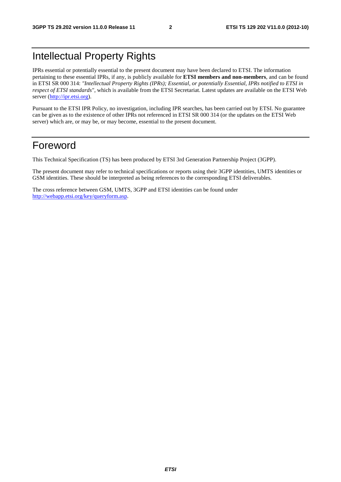### Intellectual Property Rights

IPRs essential or potentially essential to the present document may have been declared to ETSI. The information pertaining to these essential IPRs, if any, is publicly available for **ETSI members and non-members**, and can be found in ETSI SR 000 314: *"Intellectual Property Rights (IPRs); Essential, or potentially Essential, IPRs notified to ETSI in respect of ETSI standards"*, which is available from the ETSI Secretariat. Latest updates are available on the ETSI Web server [\(http://ipr.etsi.org](http://webapp.etsi.org/IPR/home.asp)).

Pursuant to the ETSI IPR Policy, no investigation, including IPR searches, has been carried out by ETSI. No guarantee can be given as to the existence of other IPRs not referenced in ETSI SR 000 314 (or the updates on the ETSI Web server) which are, or may be, or may become, essential to the present document.

### Foreword

This Technical Specification (TS) has been produced by ETSI 3rd Generation Partnership Project (3GPP).

The present document may refer to technical specifications or reports using their 3GPP identities, UMTS identities or GSM identities. These should be interpreted as being references to the corresponding ETSI deliverables.

The cross reference between GSM, UMTS, 3GPP and ETSI identities can be found under [http://webapp.etsi.org/key/queryform.asp.](http://webapp.etsi.org/key/queryform.asp)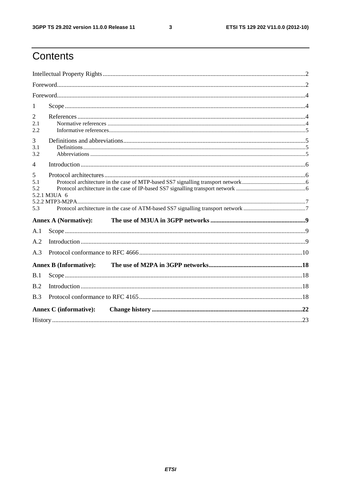$\mathbf{3}$ 

### Contents

| 1                            |                               |  |
|------------------------------|-------------------------------|--|
| $\overline{2}$<br>2.1<br>2.2 |                               |  |
| 3<br>3.1<br>3.2              |                               |  |
| $\overline{4}$               |                               |  |
| 5<br>5.1<br>5.2<br>5.3       | 5.2.1 M3UA 6                  |  |
|                              | <b>Annex A (Normative):</b>   |  |
| A.1                          |                               |  |
| A.2                          |                               |  |
| A.3                          |                               |  |
|                              | <b>Annex B (Informative):</b> |  |
| B.1                          |                               |  |
| B.2                          |                               |  |
| B.3                          |                               |  |
|                              | <b>Annex C</b> (informative): |  |
|                              |                               |  |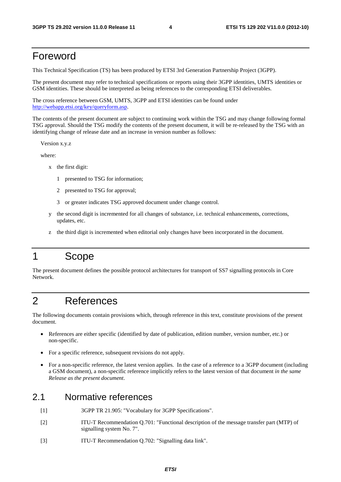### Foreword

This Technical Specification (TS) has been produced by ETSI 3rd Generation Partnership Project (3GPP).

The present document may refer to technical specifications or reports using their 3GPP identities, UMTS identities or GSM identities. These should be interpreted as being references to the corresponding ETSI deliverables.

The cross reference between GSM, UMTS, 3GPP and ETSI identities can be found under [http://webapp.etsi.org/key/queryform.asp.](http://webapp.etsi.org/key/queryform.asp)

The contents of the present document are subject to continuing work within the TSG and may change following formal TSG approval. Should the TSG modify the contents of the present document, it will be re-released by the TSG with an identifying change of release date and an increase in version number as follows:

Version x.y.z

where:

- x the first digit:
	- 1 presented to TSG for information;
	- 2 presented to TSG for approval;
	- 3 or greater indicates TSG approved document under change control.
- y the second digit is incremented for all changes of substance, i.e. technical enhancements, corrections, updates, etc.
- z the third digit is incremented when editorial only changes have been incorporated in the document.

### 1 Scope

The present document defines the possible protocol architectures for transport of SS7 signalling protocols in Core Network.

### 2 References

The following documents contain provisions which, through reference in this text, constitute provisions of the present document.

- References are either specific (identified by date of publication, edition number, version number, etc.) or non-specific.
- For a specific reference, subsequent revisions do not apply.
- For a non-specific reference, the latest version applies. In the case of a reference to a 3GPP document (including a GSM document), a non-specific reference implicitly refers to the latest version of that document *in the same Release as the present document*.

### 2.1 Normative references

- [1] 3GPP TR 21.905: "Vocabulary for 3GPP Specifications".
- [2] ITU-T Recommendation Q.701: "Functional description of the message transfer part (MTP) of signalling system No. 7".
- [3] ITU-T Recommendation Q.702: "Signalling data link".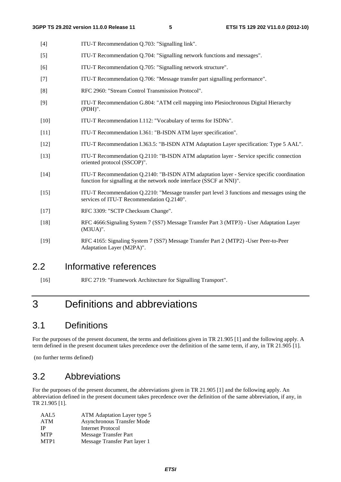| $[4]$  | ITU-T Recommendation Q.703: "Signalling link".                                                                                                                     |
|--------|--------------------------------------------------------------------------------------------------------------------------------------------------------------------|
| $[5]$  | ITU-T Recommendation Q.704: "Signalling network functions and messages".                                                                                           |
| [6]    | ITU-T Recommendation Q.705: "Signalling network structure".                                                                                                        |
| $[7]$  | ITU-T Recommendation Q.706: "Message transfer part signalling performance".                                                                                        |
| [8]    | RFC 2960: "Stream Control Transmission Protocol".                                                                                                                  |
| $[9]$  | ITU-T Recommendation G.804: "ATM cell mapping into Plesiochronous Digital Hierarchy<br>$(PDH)$ ".                                                                  |
| $[10]$ | ITU-T Recommendation I.112: "Vocabulary of terms for ISDNs".                                                                                                       |
| $[11]$ | ITU-T Recommendation I.361: "B-ISDN ATM layer specification".                                                                                                      |
| $[12]$ | ITU-T Recommendation I.363.5: "B-ISDN ATM Adaptation Layer specification: Type 5 AAL".                                                                             |
| $[13]$ | ITU-T Recommendation Q.2110: "B-ISDN ATM adaptation layer - Service specific connection<br>oriented protocol (SSCOP)".                                             |
| $[14]$ | ITU-T Recommendation Q.2140: "B-ISDN ATM adaptation layer - Service specific coordination<br>function for signalling at the network node interface (SSCF at NNI)". |
| $[15]$ | ITU-T Recommendation Q.2210: "Message transfer part level 3 functions and messages using the<br>services of ITU-T Recommendation Q.2140".                          |
| $[17]$ | RFC 3309: "SCTP Checksum Change".                                                                                                                                  |
| $[18]$ | RFC 4666:Signaling System 7 (SS7) Message Transfer Part 3 (MTP3) - User Adaptation Layer<br>$(M3UA)$ ".                                                            |
| $[19]$ | RFC 4165: Signaling System 7 (SS7) Message Transfer Part 2 (MTP2) - User Peer-to-Peer<br>Adaptation Layer (M2PA)".                                                 |
|        |                                                                                                                                                                    |

### 2.2 Informative references

[16] RFC 2719: "Framework Architecture for Signalling Transport".

### 3 Definitions and abbreviations

### 3.1 Definitions

For the purposes of the present document, the terms and definitions given in TR 21.905 [1] and the following apply. A term defined in the present document takes precedence over the definition of the same term, if any, in TR 21.905 [1].

(no further terms defined)

### 3.2 Abbreviations

For the purposes of the present document, the abbreviations given in TR 21.905 [1] and the following apply. An abbreviation defined in the present document takes precedence over the definition of the same abbreviation, if any, in TR 21.905 [1].

| ATM Adaptation Layer type 5   |
|-------------------------------|
| Asynchronous Transfer Mode    |
| Internet Protocol             |
| Message Transfer Part         |
| Message Transfer Part layer 1 |
|                               |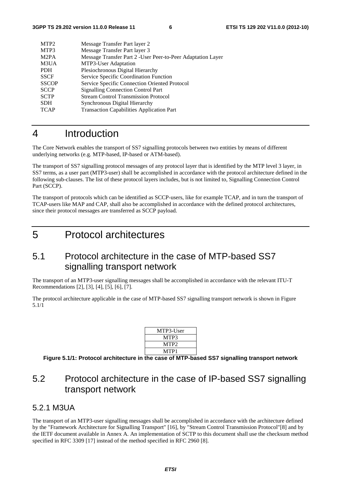| MTP <sub>2</sub>  | Message Transfer Part layer 2                                |
|-------------------|--------------------------------------------------------------|
| MTP3              | Message Transfer Part layer 3                                |
| M <sub>2</sub> PA | Message Transfer Part 2 - User Peer-to-Peer Adaptation Layer |
| M3UA              | MTP3-User Adaptation                                         |
| <b>PDH</b>        | Plesiochronous Digital Hierarchy                             |
| <b>SSCF</b>       | Service Specific Coordination Function                       |
| <b>SSCOP</b>      | Service Specific Connection Oriented Protocol                |
| <b>SCCP</b>       | <b>Signalling Connection Control Part</b>                    |
| <b>SCTP</b>       | <b>Stream Control Transmission Protocol</b>                  |
| <b>SDH</b>        | Synchronous Digital Hierarchy                                |
| <b>TCAP</b>       | <b>Transaction Capabilities Application Part</b>             |
|                   |                                                              |

### 4 Introduction

The Core Network enables the transport of SS7 signalling protocols between two entities by means of different underlying networks (e.g. MTP-based, IP-based or ATM-based).

The transport of SS7 signalling protocol messages of any protocol layer that is identified by the MTP level 3 layer, in SS7 terms, as a user part (MTP3-user) shall be accomplished in accordance with the protocol architecture defined in the following sub-clauses. The list of these protocol layers includes, but is not limited to, Signalling Connection Control Part (SCCP).

The transport of protocols which can be identified as SCCP-users, like for example TCAP, and in turn the transport of TCAP-users like MAP and CAP, shall also be accomplished in accordance with the defined protocol architectures, since their protocol messages are transferred as SCCP payload.

5 Protocol architectures

### 5.1 Protocol architecture in the case of MTP-based SS7 signalling transport network

The transport of an MTP3-user signalling messages shall be accomplished in accordance with the relevant ITU-T Recommendations [2], [3], [4], [5], [6], [7].

The protocol architecture applicable in the case of MTP-based SS7 signalling transport network is shown in Figure 5.1/1

| MTP3-User        |  |
|------------------|--|
| MTP3             |  |
| MTP <sub>2</sub> |  |
| MTP1             |  |

**Figure 5.1/1: Protocol architecture in the case of MTP-based SS7 signalling transport network** 

### 5.2 Protocol architecture in the case of IP-based SS7 signalling transport network

#### 5.2.1 M3UA

The transport of an MTP3-user signalling messages shall be accomplished in accordance with the architecture defined by the "Framework Architecture for Signalling Transport" [16], by "Stream Control Transmission Protocol"[8] and by the IETF document available in Annex A. An implementation of SCTP to this document shall use the checksum method specified in RFC 3309 [17] instead of the method specified in RFC 2960 [8].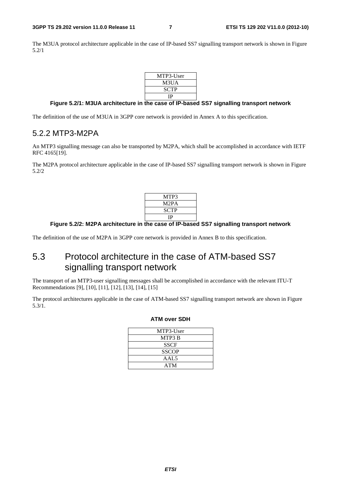The M3UA protocol architecture applicable in the case of IP-based SS7 signalling transport network is shown in Figure 5.2/1

| MTP3-User |  |
|-----------|--|
| M3UA      |  |
| SCTP      |  |
| ΙP        |  |

#### **Figure 5.2/1: M3UA architecture in the case of IP-based SS7 signalling transport network**

The definition of the use of M3UA in 3GPP core network is provided in Annex A to this specification.

#### 5.2.2 MTP3-M2PA

An MTP3 signalling message can also be transported by M2PA, which shall be accomplished in accordance with IETF RFC 4165[19].

The M2PA protocol architecture applicable in the case of IP-based SS7 signalling transport network is shown in Figure 5.2/2

| MTP3              |
|-------------------|
| M <sub>2</sub> PA |
| SCTP              |
| ΙP                |
|                   |

#### **Figure 5.2/2: M2PA architecture in the case of IP-based SS7 signalling transport network**

The definition of the use of M2PA in 3GPP core network is provided in Annex B to this specification.

### 5.3 Protocol architecture in the case of ATM-based SS7 signalling transport network

The transport of an MTP3-user signalling messages shall be accomplished in accordance with the relevant ITU-T Recommendations [9], [10], [11], [12], [13], [14], [15]

The protocol architectures applicable in the case of ATM-based SS7 signalling transport network are shown in Figure 5.3/1.

#### **ATM over SDH**

| MTP3-User    |  |
|--------------|--|
| MTP3 B       |  |
| <b>SSCF</b>  |  |
| <b>SSCOP</b> |  |
| AAL5         |  |
| <b>ATM</b>   |  |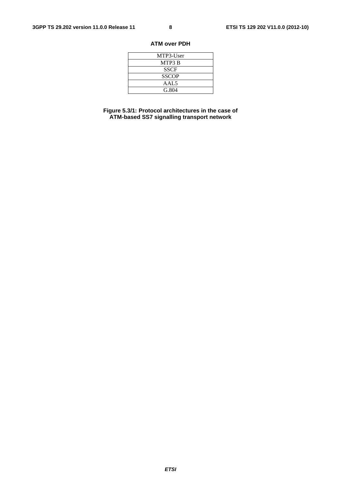#### **ATM over PDH**

| MTP3-User        |
|------------------|
| MTP3 B           |
| <b>SSCF</b>      |
| <b>SSCOP</b>     |
| AAL <sub>5</sub> |
| G.804            |

**Figure 5.3/1: Protocol architectures in the case of ATM-based SS7 signalling transport network**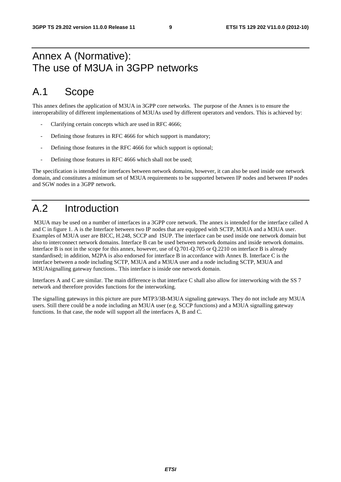### Annex A (Normative): The use of M3UA in 3GPP networks

### A.1 Scope

This annex defines the application of M3UA in 3GPP core networks. The purpose of the Annex is to ensure the interoperability of different implementations of M3UAs used by different operators and vendors. This is achieved by:

- Clarifying certain concepts which are used in RFC 4666;
- Defining those features in RFC 4666 for which support is mandatory;
- Defining those features in the RFC 4666 for which support is optional;
- Defining those features in RFC 4666 which shall not be used;

The specification is intended for interfaces between network domains, however, it can also be used inside one network domain, and constitutes a minimum set of M3UA requirements to be supported between IP nodes and between IP nodes and SGW nodes in a 3GPP network.

### A.2 Introduction

 M3UA may be used on a number of interfaces in a 3GPP core network. The annex is intended for the interface called A and C in figure 1. A is the Interface between two IP nodes that are equipped with SCTP, M3UA and a M3UA user. Examples of M3UA user are BICC, H.248, SCCP and ISUP. The interface can be used inside one network domain but also to interconnect network domains. Interface B can be used between network domains and inside network domains. Interface B is not in the scope for this annex, however, use of Q.701-Q.705 or Q.2210 on interface B is already standardised; in addition, M2PA is also endorsed for interface B in accordance with Annex B. Interface C is the interface between a node including SCTP, M3UA and a M3UA user and a node including SCTP, M3UA and M3UAsignalling gateway functions.. This interface is inside one network domain.

Interfaces A and C are similar. The main difference is that interface C shall also allow for interworking with the SS 7 network and therefore provides functions for the interworking.

The signalling gateways in this picture are pure MTP3/3B-M3UA signaling gateways. They do not include any M3UA users. Still there could be a node including an M3UA user (e.g. SCCP functions) and a M3UA signalling gateway functions. In that case, the node will support all the interfaces A, B and C.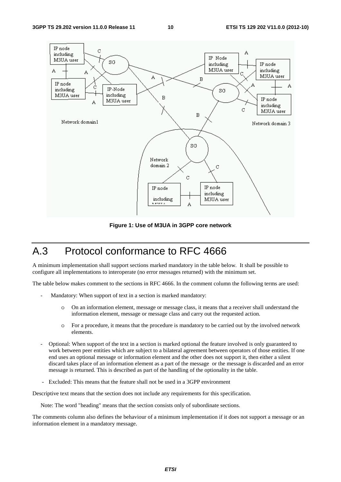

**Figure 1: Use of M3UA in 3GPP core network** 

### A.3 Protocol conformance to RFC 4666

A minimum implementation shall support sections marked mandatory in the table below. It shall be possible to configure all implementations to interoperate (no error messages returned) with the minimum set.

The table below makes comment to the sections in RFC 4666. In the comment column the following terms are used:

- Mandatory: When support of text in a section is marked mandatory:
	- o On an information element, message or message class, it means that a receiver shall understand the information element, message or message class and carry out the requested action.
	- o For a procedure, it means that the procedure is mandatory to be carried out by the involved network elements.
- Optional: When support of the text in a section is marked optional the feature involved is only guaranteed to work between peer entities which are subject to a bilateral agreement between operators of those entities. If one end uses an optional message or information element and the other does not support it, then either a silent discard takes place of an information element as a part of the message or the message is discarded and an error message is returned. This is described as part of the handling of the optionality in the table.
- Excluded: This means that the feature shall not be used in a 3GPP environment

Descriptive text means that the section does not include any requirements for this specification.

Note: The word "heading" means that the section consists only of subordinate sections.

The comments column also defines the behaviour of a minimum implementation if it does not support a message or an information element in a mandatory message.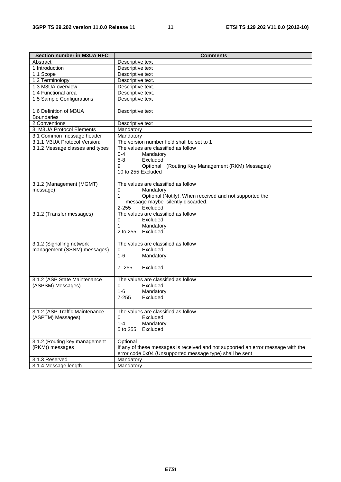| <b>Section number in M3UA RFC</b> | <b>Comments</b>                                                                  |
|-----------------------------------|----------------------------------------------------------------------------------|
| Abstract                          | Descriptive text                                                                 |
| 1.Introduction                    | Descriptive text                                                                 |
| 1.1 Scope                         | Descriptive text                                                                 |
| 1.2 Terminology                   | Descriptive text.                                                                |
| 1.3 M3UA overview                 | Descriptive text.                                                                |
| 1.4 Functional area               | Descriptive text.                                                                |
| 1.5 Sample Configurations         | Descriptive text                                                                 |
|                                   |                                                                                  |
| 1.6 Definition of M3UA            | Descriptive text                                                                 |
| <b>Boundaries</b>                 |                                                                                  |
| 2 Conventions                     | Descriptive text                                                                 |
| 3. M3UA Protocol Elements         | Mandatory                                                                        |
| 3.1 Common message header         | Mandatory                                                                        |
| 3.1.1 M3UA Protocol Version:      | The version number field shall be set to 1                                       |
| 3.1.2 Message classes and types   | The values are classified as follow                                              |
|                                   | 0-4<br>Mandatory                                                                 |
|                                   | $5 - 8$<br>Excluded                                                              |
|                                   | 9<br>Optional (Routing Key Management (RKM) Messages)                            |
|                                   | 10 to 255 Excluded                                                               |
|                                   |                                                                                  |
| 3.1.2 (Management (MGMT)          | The values are classified as follow                                              |
| message)                          | 0<br>Mandatory                                                                   |
|                                   | 1<br>Optional (Notify). When received and not supported the                      |
|                                   | message maybe silently discarded.                                                |
|                                   | $2 - 255$<br>Excluded                                                            |
| 3.1.2 (Transfer messages)         | The values are classified as follow                                              |
|                                   | Excluded<br>0                                                                    |
|                                   | 1<br>Mandatory<br>2 to 255 Excluded                                              |
|                                   |                                                                                  |
| 3.1.2 (Signalling network         | The values are classified as follow                                              |
| management (SSNM) messages)       | Excluded<br>0                                                                    |
|                                   | $1 - 6$<br>Mandatory                                                             |
|                                   |                                                                                  |
|                                   | $7 - 255$<br>Excluded.                                                           |
|                                   |                                                                                  |
| 3.1.2 (ASP State Maintenance      | The values are classified as follow                                              |
| (ASPSM) Messages)                 | 0<br>Excluded                                                                    |
|                                   | 1-6 —<br>Mandatory                                                               |
|                                   | $7 - 255$<br>Excluded                                                            |
|                                   |                                                                                  |
| 3.1.2 (ASP Traffic Maintenance    | The values are classified as follow                                              |
| (ASPTM) Messages)                 | Excluded<br>0                                                                    |
|                                   | $1 - 4$<br>Mandatory                                                             |
|                                   | Excluded<br>5 to 255                                                             |
|                                   |                                                                                  |
| 3.1.2 (Routing key management     | Optional                                                                         |
| (RKM)) messages                   | If any of these messages is received and not supported an error message with the |
|                                   | error code 0x04 (Unsupported message type) shall be sent                         |
| 3.1.3 Reserved                    | Mandatory                                                                        |
| 3.1.4 Message length              | Mandatory                                                                        |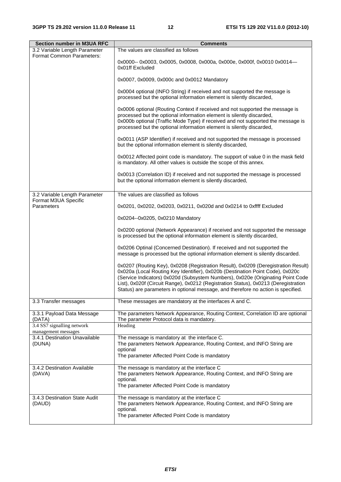| <b>Section number in M3UA RFC</b>                 | <b>Comments</b>                                                                                                                                                                                                                                                                                                                                                                                                                     |
|---------------------------------------------------|-------------------------------------------------------------------------------------------------------------------------------------------------------------------------------------------------------------------------------------------------------------------------------------------------------------------------------------------------------------------------------------------------------------------------------------|
| 3.2 Variable Length Parameter                     | The values are classified as follows                                                                                                                                                                                                                                                                                                                                                                                                |
| Format Common Parameters:                         | 0x0000-- 0x0003, 0x0005, 0x0008, 0x000a, 0x000e, 0x000f, 0x0010 0x0014-<br>0x01ff Excluded                                                                                                                                                                                                                                                                                                                                          |
|                                                   | 0x0007, 0x0009, 0x000c and 0x0012 Mandatory                                                                                                                                                                                                                                                                                                                                                                                         |
|                                                   | 0x0004 optional (INFO String) if received and not supported the message is<br>processed but the optional information element is silently discarded,                                                                                                                                                                                                                                                                                 |
|                                                   | 0x0006 optional (Routing Context if received and not supported the message is<br>processed but the optional information element is silently discarded,<br>0x000b optional (Traffic Mode Type) if received and not supported the message is<br>processed but the optional information element is silently discarded,                                                                                                                 |
|                                                   | 0x0011 (ASP Identifier) if received and not supported the message is processed<br>but the optional information element is silently discarded,                                                                                                                                                                                                                                                                                       |
|                                                   | 0x0012 Affected point code is mandatory. The support of value 0 in the mask field<br>is mandatory. All other values is outside the scope of this annex.                                                                                                                                                                                                                                                                             |
|                                                   | 0x0013 (Correlation ID) if received and not supported the message is processed<br>but the optional information element is silently discarded,                                                                                                                                                                                                                                                                                       |
| 3.2 Variable Length Parameter                     | The values are classified as follows                                                                                                                                                                                                                                                                                                                                                                                                |
| Format M3UA Specific<br>Parameters                | 0x0201, 0x0202, 0x0203, 0x0211, 0x020d and 0x0214 to 0xffff Excluded                                                                                                                                                                                                                                                                                                                                                                |
|                                                   | 0x0204--0x0205, 0x0210 Mandatory                                                                                                                                                                                                                                                                                                                                                                                                    |
|                                                   | 0x0200 optional (Network Appearance) if received and not supported the message<br>is processed but the optional information element is silently discarded,                                                                                                                                                                                                                                                                          |
|                                                   | 0x0206 Optinal (Concerned Destination). If received and not supported the<br>message is processed but the optional information element is silently discarded.                                                                                                                                                                                                                                                                       |
|                                                   | 0x0207 (Routing Key), 0x0208 (Registration Result), 0x0209 (Deregistration Result)<br>0x020a (Local Routing Key Identifier), 0x020b (Destination Point Code), 0x020c<br>(Service Indicators) 0x020d (Subsystem Numbers), 0x020e (Originating Point Code<br>List), 0x020f (Circuit Range), 0x0212 (Registration Status), 0x0213 (Deregistration<br>Status) are parameters in optional message, and therefore no action is specified. |
| 3.3 Transfer messages                             | These messages are mandatory at the interfaces A and C.                                                                                                                                                                                                                                                                                                                                                                             |
| 3.3.1 Payload Data Message<br>(DATA)              | The parameters Network Appearance, Routing Context, Correlation ID are optional<br>The parameter Protocol data is mandatory.                                                                                                                                                                                                                                                                                                        |
| 3.4 SS7 signalling network<br>management messages | Heading                                                                                                                                                                                                                                                                                                                                                                                                                             |
| 3.4.1 Destination Unavailable<br>(DUNA)           | The message is mandatory at the interface C.<br>The parameters Network Appearance, Routing Context, and INFO String are<br>optional<br>The parameter Affected Point Code is mandatory                                                                                                                                                                                                                                               |
| 3.4.2 Destination Available<br>(DAVA)             | The message is mandatory at the interface C<br>The parameters Network Appearance, Routing Context, and INFO String are                                                                                                                                                                                                                                                                                                              |
|                                                   | optional.<br>The parameter Affected Point Code is mandatory                                                                                                                                                                                                                                                                                                                                                                         |
| 3.4.3 Destination State Audit<br>(DAUD)           | The message is mandatory at the interface C<br>The parameters Network Appearance, Routing Context, and INFO String are<br>optional.<br>The parameter Affected Point Code is mandatory                                                                                                                                                                                                                                               |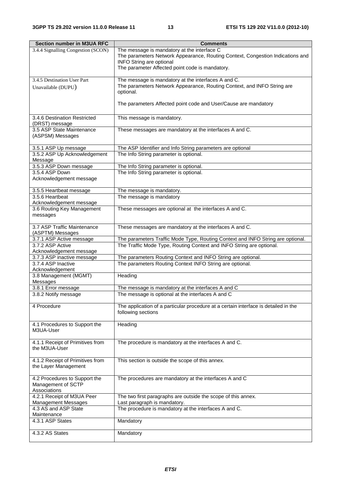| <b>Section number in M3UA RFC</b>                                   | <b>Comments</b>                                                                                                                                                                                                     |
|---------------------------------------------------------------------|---------------------------------------------------------------------------------------------------------------------------------------------------------------------------------------------------------------------|
| 3.4.4 Signalling Congestion (SCON)                                  | The message is mandatory at the interface C<br>The parameters Network Appearance, Routing Context, Congestion Indications and<br><b>INFO String are optional</b><br>The parameter Affected point code is mandatory. |
| 3.4.5 Destination User Part<br>Unavailable (DUPU)                   | The message is mandatory at the interfaces A and C.<br>The parameters Network Appearance, Routing Context, and INFO String are<br>optional.                                                                         |
|                                                                     | The parameters Affected point code and User/Cause are mandatory                                                                                                                                                     |
| 3.4.6 Destination Restricted<br>(DRST) message                      | This message is mandatory.                                                                                                                                                                                          |
| 3.5 ASP State Maintenance<br>(ASPSM) Messages                       | These messages are mandatory at the interfaces A and C.                                                                                                                                                             |
| 3.5.1 ASP Up message                                                | The ASP Identifier and Info String parameters are optional                                                                                                                                                          |
| 3.5.2 ASP Up Acknowledgement<br>Message                             | The Info String parameter is optional.                                                                                                                                                                              |
| 3.5.3 ASP Down message                                              | The Info String parameter is optional.                                                                                                                                                                              |
| 3.5.4 ASP Down<br>Acknowledgement message                           | The Info String parameter is optional.                                                                                                                                                                              |
| 3.5.5 Heartbeat message                                             | The message is mandatory.                                                                                                                                                                                           |
| 3.5.6 Heartbeat<br>Acknowledgement message                          | The message is mandatory                                                                                                                                                                                            |
| 3.6 Routing Key Management<br>messages                              | These messages are optional at the interfaces A and C.                                                                                                                                                              |
| 3.7 ASP Traffic Maintenance<br>(ASPTM) Messages                     | These messages are mandatory at the interfaces A and C.                                                                                                                                                             |
| 3.7.1 ASP Active message                                            | The parameters Traffic Mode Type, Routing Context and INFO String are optional.                                                                                                                                     |
| 3.7.2 ASP Active                                                    | The Traffic Mode Type, Routing Context and INFO String are optional.                                                                                                                                                |
| Acknowledgement message<br>3.7.3 ASP inactive message               |                                                                                                                                                                                                                     |
| 3.7.4 ASP Inactive                                                  | The parameters Routing Context and INFO String are optional.<br>The parameters Routing Context INFO String are optional.                                                                                            |
| Acknowledgement                                                     |                                                                                                                                                                                                                     |
| 3.8 Management (MGMT)<br>Messages                                   | Heading                                                                                                                                                                                                             |
| 3.8.1 Error message                                                 | The message is mandatory at the interfaces A and C                                                                                                                                                                  |
| 3.8.2 Notify message                                                | The message is optional at the interfaces A and C                                                                                                                                                                   |
| 4 Procedure                                                         | The application of a particular procedure at a certain interface is detailed in the<br>following sections                                                                                                           |
| 4.1 Procedures to Support the<br>M3UA-User                          | Heading                                                                                                                                                                                                             |
| 4.1.1 Receipt of Primitives from<br>the M3UA-User                   | The procedure is mandatory at the interfaces A and C.                                                                                                                                                               |
| 4.1.2 Receipt of Primitives from<br>the Layer Management            | This section is outside the scope of this annex.                                                                                                                                                                    |
| 4.2 Procedures to Support the<br>Management of SCTP<br>Associations | The procedures are mandatory at the interfaces A and C                                                                                                                                                              |
| 4.2.1 Receipt of M3UA Peer<br><b>Management Messages</b>            | The two first paragraphs are outside the scope of this annex.<br>Last paragraph is mandatory.                                                                                                                       |
| 4.3 AS and ASP State<br>Maintenance                                 | The procedure is mandatory at the interfaces A and C.                                                                                                                                                               |
| 4.3.1 ASP States                                                    | Mandatory                                                                                                                                                                                                           |
| 4.3.2 AS States                                                     | Mandatory                                                                                                                                                                                                           |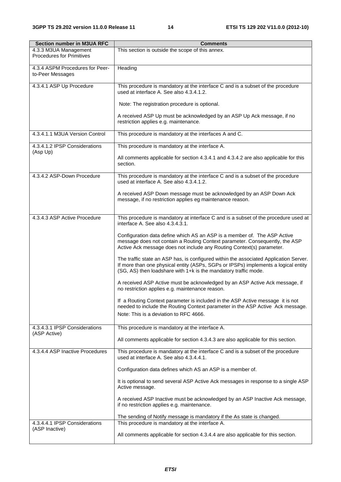| <b>Section number in M3UA RFC</b> | <b>Comments</b>                                                                                                                                       |
|-----------------------------------|-------------------------------------------------------------------------------------------------------------------------------------------------------|
| 4.3.3 M3UA Management             | This section is outside the scope of this annex.                                                                                                      |
| <b>Procedures for Primitives</b>  |                                                                                                                                                       |
|                                   |                                                                                                                                                       |
| 4.3.4 ASPM Procedures for Peer-   | Heading                                                                                                                                               |
| to-Peer Messages                  |                                                                                                                                                       |
| 4.3.4.1 ASP Up Procedure          | This procedure is mandatory at the interface C and is a subset of the procedure                                                                       |
|                                   | used at interface A. See also 4.3.4.1.2.                                                                                                              |
|                                   |                                                                                                                                                       |
|                                   | Note: The registration procedure is optional.                                                                                                         |
|                                   |                                                                                                                                                       |
|                                   | A received ASP Up must be acknowledged by an ASP Up Ack message, if no                                                                                |
|                                   | restriction applies e.g. maintenance.                                                                                                                 |
| 4.3.4.1.1 M3UA Version Control    | This procedure is mandatory at the interfaces A and C.                                                                                                |
|                                   |                                                                                                                                                       |
| 4.3.4.1.2 IPSP Considerations     | This procedure is mandatory at the interface A.                                                                                                       |
| (Asp Up)                          |                                                                                                                                                       |
|                                   | All comments applicable for section 4.3.4.1 and 4.3.4.2 are also applicable for this                                                                  |
|                                   | section.                                                                                                                                              |
|                                   |                                                                                                                                                       |
| 4.3.4.2 ASP-Down Procedure        | This procedure is mandatory at the interface C and is a subset of the procedure<br>used at interface A. See also 4.3.4.1.2.                           |
|                                   |                                                                                                                                                       |
|                                   | A received ASP Down message must be acknowledged by an ASP Down Ack                                                                                   |
|                                   | message, if no restriction applies eg maintenance reason.                                                                                             |
|                                   |                                                                                                                                                       |
|                                   |                                                                                                                                                       |
| 4.3.4.3 ASP Active Procedure      | This procedure is mandatory at interface C and is a subset of the procedure used at                                                                   |
|                                   | interface A. See also 4.3.4.3.1.                                                                                                                      |
|                                   | Configuration data define which AS an ASP is a member of. The ASP Active                                                                              |
|                                   | message does not contain a Routing Context parameter. Consequently, the ASP                                                                           |
|                                   | Active Ack message does not include any Routing Context(s) parameter.                                                                                 |
|                                   |                                                                                                                                                       |
|                                   | The traffic state an ASP has, is configured within the associated Application Server.                                                                 |
|                                   | If more than one physical entity (ASPs, SGPs or IPSPs) implements a logical entity<br>(SG, AS) then loadshare with 1+k is the mandatory traffic mode. |
|                                   |                                                                                                                                                       |
|                                   | A received ASP Active must be acknowledged by an ASP Active Ack message, if                                                                           |
|                                   | no restriction applies e.g. maintenance reason.                                                                                                       |
|                                   |                                                                                                                                                       |
|                                   | If a Routing Context parameter is included in the ASP Active message it is not                                                                        |
|                                   | needed to include the Routing Context parameter in the ASP Active Ack message.                                                                        |
|                                   | Note: This is a deviation to RFC 4666.                                                                                                                |
|                                   |                                                                                                                                                       |
| 4.3.4.3.1 IPSP Considerations     | This procedure is mandatory at the interface A.                                                                                                       |
| (ASP Active)                      | All comments applicable for section 4.3.4.3 are also applicable for this section.                                                                     |
|                                   |                                                                                                                                                       |
| 4.3.4.4 ASP Inactive Procedures   | This procedure is mandatory at the interface C and is a subset of the procedure                                                                       |
|                                   | used at interface A. See also 4.3.4.4.1.                                                                                                              |
|                                   |                                                                                                                                                       |
|                                   | Configuration data defines which AS an ASP is a member of.                                                                                            |
|                                   |                                                                                                                                                       |
|                                   | It is optional to send several ASP Active Ack messages in response to a single ASP<br>Active message.                                                 |
|                                   |                                                                                                                                                       |
|                                   | A received ASP Inactive must be acknowledged by an ASP Inactive Ack message,                                                                          |
|                                   | if no restriction applies e.g. maintenance.                                                                                                           |
|                                   |                                                                                                                                                       |
|                                   | The sending of Notify message is mandatory if the As state is changed.                                                                                |
| 4.3.4.4.1 IPSP Considerations     | This procedure is mandatory at the interface A.                                                                                                       |
| (ASP Inactive)                    |                                                                                                                                                       |
|                                   | All comments applicable for section 4.3.4.4 are also applicable for this section.                                                                     |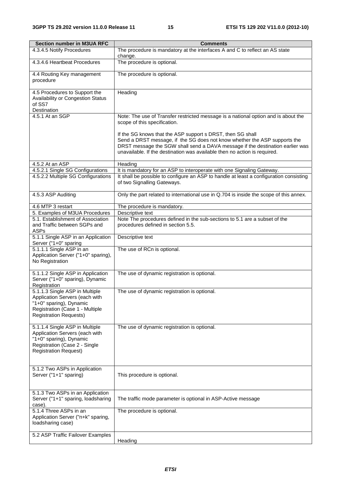| <b>Section number in M3UA RFC</b>                                                                                                                               | <b>Comments</b>                                                                                                                                                                                                                                                                                       |
|-----------------------------------------------------------------------------------------------------------------------------------------------------------------|-------------------------------------------------------------------------------------------------------------------------------------------------------------------------------------------------------------------------------------------------------------------------------------------------------|
| 4.3.4.5 Notify Procedures                                                                                                                                       | The procedure is mandatory at the interfaces A and C to reflect an AS state<br>change.                                                                                                                                                                                                                |
| 4.3.4.6 Heartbeat Procedures                                                                                                                                    | The procedure is optional.                                                                                                                                                                                                                                                                            |
| 4.4 Routing Key management<br>procedure                                                                                                                         | The procedure is optional.                                                                                                                                                                                                                                                                            |
| 4.5 Procedures to Support the<br>Availability or Congestion Status<br>of SS7<br>Destination                                                                     | Heading                                                                                                                                                                                                                                                                                               |
| 4.5.1 At an SGP                                                                                                                                                 | Note: The use of Transfer restricted message is a national option and is about the<br>scope of this specification.                                                                                                                                                                                    |
|                                                                                                                                                                 | If the SG knows that the ASP support s DRST, then SG shall<br>Send a DRST message, if the SG does not know whether the ASP supports the<br>DRST message the SGW shall send a DAVA message if the destination earlier was<br>unavailable. If the destination was available then no action is required. |
| 4.5.2 At an ASP                                                                                                                                                 | Heading                                                                                                                                                                                                                                                                                               |
| 4.5.2.1 Single SG Configurations                                                                                                                                | It is mandatory for an ASP to interoperate with one Signaling Gateway.                                                                                                                                                                                                                                |
| 4.5.2.2 Multiple SG Configurations                                                                                                                              | It shall be possible to configure an ASP to handle at least a configuration consisting<br>of two Signalling Gateways.                                                                                                                                                                                 |
| 4.5.3 ASP Auditing                                                                                                                                              | Only the part related to international use in Q.704 is inside the scope of this annex.                                                                                                                                                                                                                |
| 4.6 MTP 3 restart                                                                                                                                               | The procedure is mandatory.                                                                                                                                                                                                                                                                           |
| 5. Examples of M3UA Procedures                                                                                                                                  | Descriptive text                                                                                                                                                                                                                                                                                      |
| 5.1. Establishment of Association<br>and Traffic between SGPs and<br><b>ASPs</b>                                                                                | Note The procedures defined in the sub-sections to 5.1 are a subset of the<br>procedures defined in section 5.5.                                                                                                                                                                                      |
| 5.1.1 Single ASP in an Application<br>Server ("1+0" sparing                                                                                                     | Descriptive text                                                                                                                                                                                                                                                                                      |
| 5.1.1.1 Single ASP in an<br>Application Server ("1+0" sparing),<br>No Registration                                                                              | The use of RCn is optional.                                                                                                                                                                                                                                                                           |
| 5.1.1.2 Single ASP in Application<br>Server ("1+0" sparing), Dynamic<br>Registration                                                                            | The use of dynamic registration is optional.                                                                                                                                                                                                                                                          |
| 5.1.1.3 Single ASP in Multiple<br>Application Servers (each with<br>"1+0" sparing), Dynamic<br>Registration (Case 1 - Multiple<br><b>Registration Requests)</b> | The use of dynamic registration is optional.                                                                                                                                                                                                                                                          |
| 5.1.1.4 Single ASP in Multiple<br>Application Servers (each with<br>"1+0" sparing), Dynamic<br>Registration (Case 2 - Single<br><b>Registration Request)</b>    | The use of dynamic registration is optional.                                                                                                                                                                                                                                                          |
| 5.1.2 Two ASPs in Application<br>Server ("1+1" sparing)                                                                                                         | This procedure is optional.                                                                                                                                                                                                                                                                           |
| 5.1.3 Two ASPs in an Application<br>Server ("1+1" sparing, loadsharing<br>case).                                                                                | The traffic mode parameter is optional in ASP-Active message                                                                                                                                                                                                                                          |
| 5.1.4 Three ASPs in an<br>Application Server ("n+k" sparing,<br>loadsharing case)                                                                               | The procedure is optional.                                                                                                                                                                                                                                                                            |
| 5.2 ASP Traffic Failover Examples                                                                                                                               | Heading                                                                                                                                                                                                                                                                                               |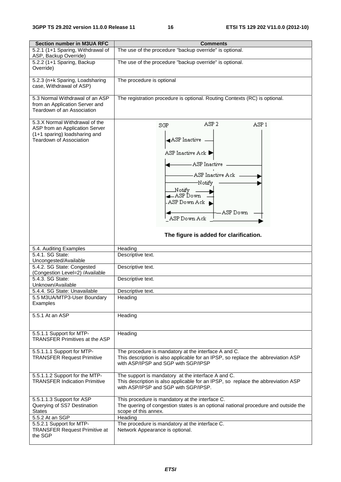| <b>Section number in M3UA RFC</b>     | <b>Comments</b>                                                                    |  |  |  |  |
|---------------------------------------|------------------------------------------------------------------------------------|--|--|--|--|
| 5.2.1 (1+1 Sparing, Withdrawal of     | The use of the procedure "backup override" is optional.                            |  |  |  |  |
| ASP, Backup Override)                 |                                                                                    |  |  |  |  |
| 5.2.2 (1+1 Sparing, Backup            | The use of the procedure "backup override" is optional.                            |  |  |  |  |
| Override)                             |                                                                                    |  |  |  |  |
|                                       |                                                                                    |  |  |  |  |
| 5.2.3 (n+k Sparing, Loadsharing       | The procedure is optional                                                          |  |  |  |  |
| case, Withdrawal of ASP)              |                                                                                    |  |  |  |  |
|                                       |                                                                                    |  |  |  |  |
| 5.3 Normal Withdrawal of an ASP       | The registration procedure is optional. Routing Contexts (RC) is optional.         |  |  |  |  |
| from an Application Server and        |                                                                                    |  |  |  |  |
| Teardown of an Association            |                                                                                    |  |  |  |  |
|                                       |                                                                                    |  |  |  |  |
| 5.3.X Normal Withdrawal of the        | ASP <sub>2</sub><br>ASP <sub>1</sub>                                               |  |  |  |  |
| ASP from an Application Server        | SGP                                                                                |  |  |  |  |
| (1+1 sparing) loadsharing and         |                                                                                    |  |  |  |  |
| <b>Teardown of Association</b>        | ASP Inactive                                                                       |  |  |  |  |
|                                       |                                                                                    |  |  |  |  |
|                                       | ASP Inactive Ack                                                                   |  |  |  |  |
|                                       |                                                                                    |  |  |  |  |
|                                       | ASP Inactive                                                                       |  |  |  |  |
|                                       |                                                                                    |  |  |  |  |
|                                       | - ASP Inactive Ack -                                                               |  |  |  |  |
|                                       | -Notify                                                                            |  |  |  |  |
|                                       | Notify                                                                             |  |  |  |  |
|                                       | ∉– ASP Ďown                                                                        |  |  |  |  |
|                                       | -ASP Down Ack ▲                                                                    |  |  |  |  |
|                                       |                                                                                    |  |  |  |  |
|                                       | -ASP Down                                                                          |  |  |  |  |
|                                       | ASP Down Ack                                                                       |  |  |  |  |
|                                       |                                                                                    |  |  |  |  |
|                                       |                                                                                    |  |  |  |  |
|                                       | The figure is added for clarification.                                             |  |  |  |  |
| 5.4. Auditing Examples                | Heading                                                                            |  |  |  |  |
| 5.4.1. SG State:                      | Descriptive text.                                                                  |  |  |  |  |
| Uncongested/Available                 |                                                                                    |  |  |  |  |
| 5.4.2. SG State: Congested            | Descriptive text.                                                                  |  |  |  |  |
| (Congestion Level=2) /Available       |                                                                                    |  |  |  |  |
| 5.4.3. SG State:                      | Descriptive text.                                                                  |  |  |  |  |
| Unknown/Available                     |                                                                                    |  |  |  |  |
| 5.4.4. SG State: Unavailable          | Descriptive text.                                                                  |  |  |  |  |
| 5.5 M3UA/MTP3-User Boundary           | Heading                                                                            |  |  |  |  |
| Examples                              |                                                                                    |  |  |  |  |
|                                       |                                                                                    |  |  |  |  |
| 5.5.1 At an ASP                       | Heading                                                                            |  |  |  |  |
|                                       |                                                                                    |  |  |  |  |
|                                       |                                                                                    |  |  |  |  |
| 5.5.1.1 Support for MTP-              | Heading                                                                            |  |  |  |  |
| <b>TRANSFER Primitives at the ASP</b> |                                                                                    |  |  |  |  |
|                                       |                                                                                    |  |  |  |  |
| 5.5.1.1.1 Support for MTP-            | The procedure is mandatory at the interface A and C.                               |  |  |  |  |
| <b>TRANSFER Request Primitive</b>     | This description is also applicable for an IPSP, so replace the abbreviation ASP   |  |  |  |  |
|                                       | with ASP/IPSP and SGP with SGP/IPSP                                                |  |  |  |  |
|                                       |                                                                                    |  |  |  |  |
| 5.5.1.1.2 Support for the MTP-        | The support is mandatory at the interface A and C.                                 |  |  |  |  |
| <b>TRANSFER Indication Primitive</b>  | This description is also applicable for an IPSP, so replace the abbreviation ASP   |  |  |  |  |
|                                       | with ASP/IPSP and SGP with SGP/IPSP.                                               |  |  |  |  |
|                                       |                                                                                    |  |  |  |  |
| 5.5.1.1.3 Support for ASP             | This procedure is mandatory at the interface C.                                    |  |  |  |  |
| Querying of SS7 Destination           | The quering of congestion states is an optional national procedure and outside the |  |  |  |  |
| <b>States</b>                         | scope of this annex.                                                               |  |  |  |  |
| 5.5.2 At an SGP                       | Heading                                                                            |  |  |  |  |
| 5.5.2.1 Support for MTP-              | The procedure is mandatory at the interface C.                                     |  |  |  |  |
| <b>TRANSFER Request Primitive at</b>  | Network Appearance is optional.                                                    |  |  |  |  |
| the SGP                               |                                                                                    |  |  |  |  |
|                                       |                                                                                    |  |  |  |  |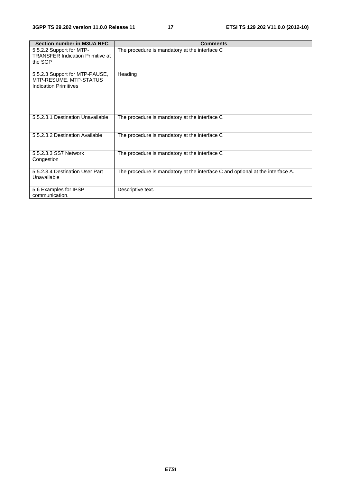| <b>Section number in M3UA RFC</b>                                                        | <b>Comments</b>                                                                |
|------------------------------------------------------------------------------------------|--------------------------------------------------------------------------------|
| 5.5.2.2 Support for MTP-<br><b>TRANSFER Indication Primitive at</b><br>the SGP           | The procedure is mandatory at the interface C                                  |
| 5.5.2.3 Support for MTP-PAUSE,<br>MTP-RESUME, MTP-STATUS<br><b>Indication Primitives</b> | Heading                                                                        |
| 5.5.2.3.1 Destination Unavailable                                                        | The procedure is mandatory at the interface C                                  |
| 5.5.2.3.2 Destination Available                                                          | The procedure is mandatory at the interface C                                  |
| 5.5.2.3.3 SS7 Network<br>Congestion                                                      | The procedure is mandatory at the interface C                                  |
| 5.5.2.3.4 Destination User Part<br>Unavailable                                           | The procedure is mandatory at the interface C and optional at the interface A. |
| 5.6 Examples for IPSP<br>communication.                                                  | Descriptive text.                                                              |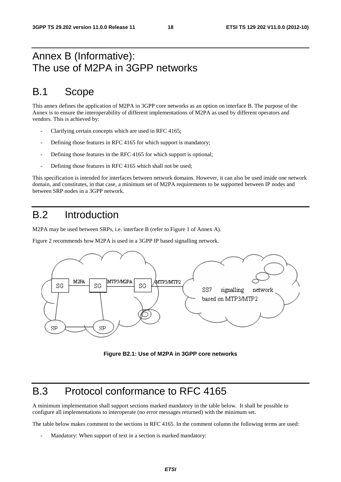### Annex B (Informative): The use of M2PA in 3GPP networks

### B.1 Scope

This annex defines the application of M2PA in 3GPP core networks as an option on interface B. The purpose of the Annex is to ensure the interoperability of different implementations of M2PA as used by different operators and vendors. This is achieved by:

- Clarifying certain concepts which are used in RFC 4165;
- Defining those features in RFC 4165 for which support is mandatory;
- Defining those features in the RFC 4165 for which support is optional;
- Defining those features in RFC 4165 which shall not be used;

This specification is intended for interfaces between network domains. However, it can also be used inside one network domain, and constitutes, in that case, a minimum set of M2PA requirements to be supported between IP nodes and between SRP nodes in a 3GPP network.

### B.2 Introduction

M2PA may be used between SRPs, i.e. interface B (refer to Figure 1 of Annex A).

Figure 2 recommends how M2PA is used in a 3GPP IP based signalling network.



**Figure B2.1: Use of M2PA in 3GPP core networks** 

### B.3 Protocol conformance to RFC 4165

A minimum implementation shall support sections marked mandatory in the table below. It shall be possible to configure all implementations to interoperate (no error messages returned) with the minimum set.

The table below makes comment to the sections in RFC 4165. In the comment column the following terms are used:

Mandatory: When support of text in a section is marked mandatory: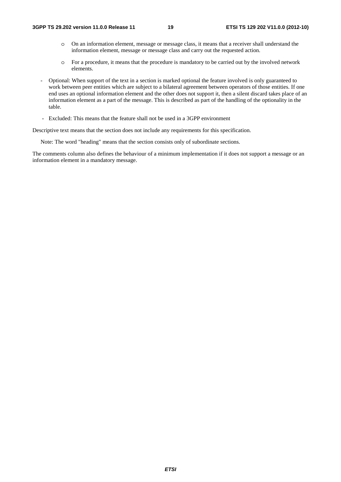- o On an information element, message or message class, it means that a receiver shall understand the information element, message or message class and carry out the requested action.
- o For a procedure, it means that the procedure is mandatory to be carried out by the involved network elements.
- Optional: When support of the text in a section is marked optional the feature involved is only guaranteed to work between peer entities which are subject to a bilateral agreement between operators of those entities. If one end uses an optional information element and the other does not support it, then a silent discard takes place of an information element as a part of the message. This is described as part of the handling of the optionality in the table.
- Excluded: This means that the feature shall not be used in a 3GPP environment

Descriptive text means that the section does not include any requirements for this specification.

Note: The word "heading" means that the section consists only of subordinate sections.

The comments column also defines the behaviour of a minimum implementation if it does not support a message or an information element in a mandatory message.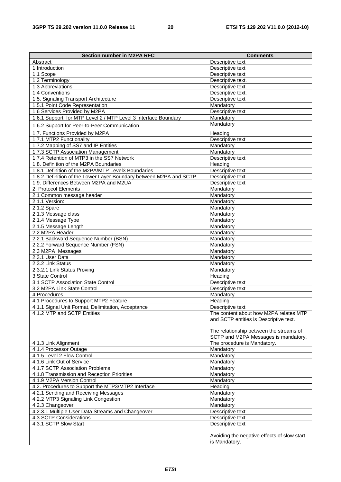| Section number in M2PA RFC                                         | <b>Comments</b>                                                                  |
|--------------------------------------------------------------------|----------------------------------------------------------------------------------|
| Abstract                                                           | Descriptive text                                                                 |
| 1.Introduction                                                     | Descriptive text                                                                 |
| $1.1$ Scope                                                        | Descriptive text                                                                 |
| 1.2 Terminology                                                    | Descriptive text.                                                                |
| 1.3 Abbreviations                                                  | Descriptive text.                                                                |
| 1.4 Conventions                                                    | Descriptive text.                                                                |
| 1.5. Signaling Transport Architecture                              | Descriptive text                                                                 |
| 1.5.1 Point Code Representation                                    | Mandatory                                                                        |
| 1.6 Services Provided by M2PA                                      | Descriptive text                                                                 |
| 1.6.1 Support for MTP Level 2 / MTP Level 3 Interface Boundary     | Mandatory                                                                        |
| 1.6.2 Support for Peer-to-Peer Communication                       | Mandatory                                                                        |
| 1.7. Functions Provided by M2PA                                    | Heading                                                                          |
| 1.7.1 MTP2 Functionality                                           | Descriptive text                                                                 |
| 1.7.2 Mapping of SS7 and IP Entities                               | Mandatory                                                                        |
| 1.7.3 SCTP Association Management                                  | Mandatory                                                                        |
| 1.7.4 Retention of MTP3 in the SS7 Network                         | Descriptive text                                                                 |
| 1.8. Definition of the M2PA Boundaries                             | Heading                                                                          |
| 1.8.1 Definition of the M2PA/MTP Level3 Boundaries                 | Descriptive text                                                                 |
| 1.8.2 Definition of the Lower Layer Boundary between M2PA and SCTP | Descriptive text                                                                 |
| 1.9. Differences Between M2PA and M2UA                             | Descriptive text                                                                 |
| 2. Protocol Elements                                               | Mandatory                                                                        |
| 2.1 Common message header                                          | Mandatory                                                                        |
| 2.1.1 Version:                                                     | Mandatory                                                                        |
| 2.1.2 Spare                                                        | Mandatory                                                                        |
| 2.1.3 Message class                                                | Mandatory                                                                        |
| 2.1.4 Message Type                                                 | Mandatory                                                                        |
| 2.1.5 Message Length                                               | Mandatory                                                                        |
| 2.2 M2PA Header                                                    | Mandatory                                                                        |
| 2.2.1 Backward Sequence Number (BSN)                               | Mandatory                                                                        |
| 2.2.2 Forward Sequence Number (FSN)                                | Mandatory                                                                        |
| 2.3 M2PA Messages                                                  | Mandatory                                                                        |
| 2.3.1 User Data                                                    | Mandatory                                                                        |
| 2.3.2 Link Status                                                  | Mandatory                                                                        |
| 2.3.2.1 Link Status Proving                                        | Mandatory                                                                        |
| 3 State Control                                                    | Heading                                                                          |
| 3.1 SCTP Association State Control                                 | Descriptive text                                                                 |
| 3.2 M2PA Link State Control                                        | Descriptive text                                                                 |
| 4 Procedures                                                       | Mandatory                                                                        |
| 4.1 Procedures to Support MTP2 Feature                             | Heading                                                                          |
| 4.1.1 Signal Unit Format, Delimitation, Acceptance                 | Descriptive text                                                                 |
| 4.1.2 MTP and SCTP Entities                                        | The content about how M2PA relates MTP<br>and SCTP entities is Descriptive text. |
|                                                                    | The relationship between the streams of<br>SCTP and M2PA Messages is mandatory.  |
| 4.1.3 Link Alignment                                               | The procedure is Mandatory.                                                      |
| 4.1.4 Processor Outage                                             | Mandatory                                                                        |
| 4.1.5 Level 2 Flow Control                                         | Mandatory                                                                        |
| 4.1.6 Link Out of Service                                          | Mandatory                                                                        |
| 4.1.7 SCTP Association Problems                                    | Mandatory                                                                        |
| 4.1.8 Transmission and Reception Priorities                        | Mandatory                                                                        |
| 4.1.9 M2PA Version Control                                         | Mandatory                                                                        |
| 4.2. Procedures to Support the MTP3/MTP2 Interface                 | Heading                                                                          |
| 4.2.1 Sending and Receiving Messages                               | Mandatory                                                                        |
| 4.2.2 MTP3 Signaling Link Congestion                               | Mandatory                                                                        |
| 4.2.3 Changeover                                                   | Mandatory                                                                        |
| 4.2.3.1 Multiple User Data Streams and Changeover                  | Descriptive text                                                                 |
| 4.3 SCTP Considerations                                            | Descriptive text                                                                 |
| 4.3.1 SCTP Slow Start                                              | Descriptive text                                                                 |
|                                                                    |                                                                                  |
|                                                                    | Avoiding the negative effects of slow start<br>is Mandatory.                     |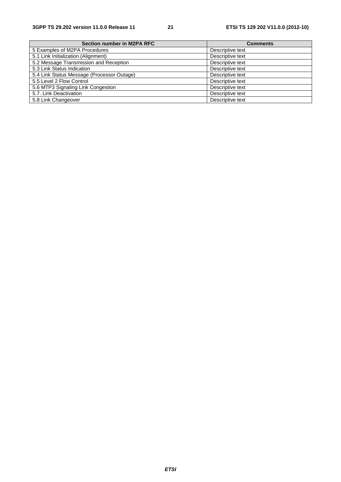| Section number in M2PA RFC                 | <b>Comments</b>  |
|--------------------------------------------|------------------|
| 5 Examples of M2PA Procedures              | Descriptive text |
| 5.1 Link Initialization (Alignment)        | Descriptive text |
| 5.2 Message Transmission and Reception     | Descriptive text |
| 5.3 Link Status Indication                 | Descriptive text |
| 5.4 Link Status Message (Processor Outage) | Descriptive text |
| 5.5 Level 2 Flow Control                   | Descriptive text |
| 5.6 MTP3 Signaling Link Congestion         | Descriptive text |
| 5.7. Link Deactivation                     | Descriptive text |
| 5.8 Link Changeover                        | Descriptive text |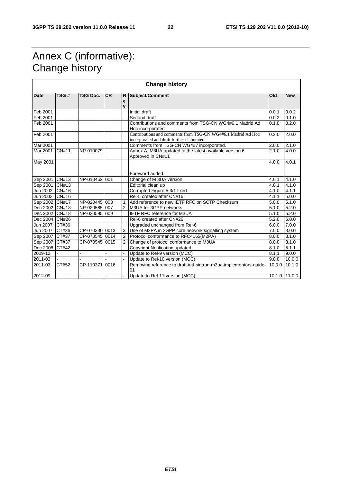### Annex C (informative): Change history

| <b>Change history</b>            |              |                 |           |                        |                                                                                                           |                |                    |
|----------------------------------|--------------|-----------------|-----------|------------------------|-----------------------------------------------------------------------------------------------------------|----------------|--------------------|
| <b>Date</b>                      | TSG#         | <b>TSG Doc.</b> | <b>CR</b> | R<br>e<br>$\mathbf{v}$ | Subject/Comment                                                                                           | Old            | <b>New</b>         |
| Feb 2001                         |              |                 |           |                        | Initial draft                                                                                             | 0.0.1          | 0.0.2              |
| Feb 2001                         |              |                 |           |                        | Second draft                                                                                              | 0.0.2          | 0.1.0              |
| Feb 2001                         |              |                 |           |                        | Contributions and comments from TSG-CN WG4#6.1 Madrid Ad<br>Hoc incorporated                              | 0.1.0          | 0.2.0              |
| Feb 2001                         |              |                 |           |                        | Contributions and comments from TSG-CN WG4#6.1 Madrid Ad Hoc<br>incorporated and draft further elaborated | 0.2.0          | 2.0.0              |
| Mar 2001                         |              |                 |           |                        | Comments from TSG-CN WG4#7 incorporated.                                                                  | 2.0.0          | 2.1.0              |
| Mar 2001                         | <b>CN#11</b> | NP-010079       |           |                        | Annex A: M3UA updated to the latest available version 6<br>Approved in CN#11                              | 2.1.0          | 4.0.0              |
| May 2001                         |              |                 |           |                        |                                                                                                           | 4.0.0          | 4.0.1              |
|                                  |              |                 |           |                        | Foreword added                                                                                            |                |                    |
| Sep 2001 CN#13                   |              | NP-010452 001   |           |                        | Change of M 3UA version                                                                                   | 4.0.1<br>4.0.1 | 4.1.0              |
| Sep 2001 CN#13<br>Jun 2002 CN#16 |              |                 |           |                        | Editorial clean up<br>Corrupted Figure 5.3/1 fixed                                                        | 4.1.0          | 4.1.0<br>4.1.1     |
| Jun 2002                         | <b>CN#16</b> |                 |           |                        | Rel-5 created after CN#16                                                                                 | 4.1.1          | 5.0.0              |
| Sep 2002 CN#17                   |              | NP-020445 003   |           |                        | Add reference to new IETF RFC on SCTP Checksum                                                            | 5.0.0          | 5.1.0              |
| Dec 2002 CN#18                   |              | NP-020585 007   |           | 2                      | M3UA for 3GPP networks                                                                                    | 5.1.0          | 5.2.0              |
| Dec 2002 CN#18                   |              | NP-020585 009   |           |                        | <b>IETF RFC reference for M3UA</b>                                                                        | 5.1.0          | $\overline{5.2.0}$ |
| Dec 2004                         | <b>CN#26</b> |                 |           |                        | Rel-6 created after CN#26                                                                                 | 5.2.0          | 6.0.0              |
| Jun 2007                         | CT#36        |                 |           |                        | Upgraded unchanged from Rel-6                                                                             | 6.0.0          | 7.0.0              |
| Jun 2007                         | CT#36        | CP-070330 0013  |           | 3                      | Use of M2PA in 3GPP core network signalling system                                                        | 7.0.0          | 8.0.0              |
| Sep 2007                         | CT#37        | CP-070545 0014  |           | $\overline{2}$         | Protocol conformance to RFC4165(M2PA)                                                                     | 8.0.0          | 8.1.0              |
| Sep 2007                         | CT#37        | CP-070545 0015  |           | $\overline{2}$         | Change of protocol conformance to M3UA                                                                    | 8.0.0          | 8.1.0              |
| Dec 2008                         | CT#42        |                 |           |                        | Copyright Notification updated                                                                            | 8.1.0          | 8.1.1              |
| 2009-12                          |              | ÷               |           |                        | Update to Rel-9 version (MCC)                                                                             | 8.1.1          | 9.0.0              |
| 2011-03                          |              |                 |           |                        | Update to Rel-10 version (MCC)                                                                            | 9.0.0          | 10.0.0             |
| 2011-03                          | CT#52        | CP-110371 0016  |           |                        | Removing reference to draft-ietf-sigtran-m3ua-implementors-guide-<br>01                                   | 10.0.0         | 10.1.0             |
| 2012-09                          |              | ä,              |           |                        | Update to Rel-11 version (MCC)                                                                            |                | 10.1.0 11.0.0      |